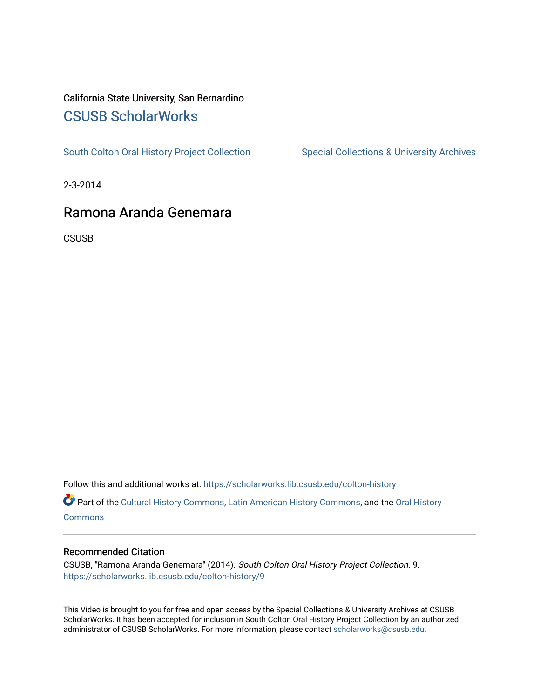## California State University, San Bernardino [CSUSB ScholarWorks](https://scholarworks.lib.csusb.edu/)

[South Colton Oral History Project Collection](https://scholarworks.lib.csusb.edu/colton-history) Special Collections & University Archives

2-3-2014

# Ramona Aranda Genemara

**CSUSB** 

Follow this and additional works at: [https://scholarworks.lib.csusb.edu/colton-history](https://scholarworks.lib.csusb.edu/colton-history?utm_source=scholarworks.lib.csusb.edu%2Fcolton-history%2F9&utm_medium=PDF&utm_campaign=PDFCoverPages)

Part of the [Cultural History Commons](http://network.bepress.com/hgg/discipline/496?utm_source=scholarworks.lib.csusb.edu%2Fcolton-history%2F9&utm_medium=PDF&utm_campaign=PDFCoverPages), [Latin American History Commons,](http://network.bepress.com/hgg/discipline/494?utm_source=scholarworks.lib.csusb.edu%2Fcolton-history%2F9&utm_medium=PDF&utm_campaign=PDFCoverPages) and the [Oral History](http://network.bepress.com/hgg/discipline/1195?utm_source=scholarworks.lib.csusb.edu%2Fcolton-history%2F9&utm_medium=PDF&utm_campaign=PDFCoverPages) **[Commons](http://network.bepress.com/hgg/discipline/1195?utm_source=scholarworks.lib.csusb.edu%2Fcolton-history%2F9&utm_medium=PDF&utm_campaign=PDFCoverPages)** 

#### Recommended Citation

CSUSB, "Ramona Aranda Genemara" (2014). South Colton Oral History Project Collection. 9. [https://scholarworks.lib.csusb.edu/colton-history/9](https://scholarworks.lib.csusb.edu/colton-history/9?utm_source=scholarworks.lib.csusb.edu%2Fcolton-history%2F9&utm_medium=PDF&utm_campaign=PDFCoverPages)

This Video is brought to you for free and open access by the Special Collections & University Archives at CSUSB ScholarWorks. It has been accepted for inclusion in South Colton Oral History Project Collection by an authorized administrator of CSUSB ScholarWorks. For more information, please contact [scholarworks@csusb.edu](mailto:scholarworks@csusb.edu).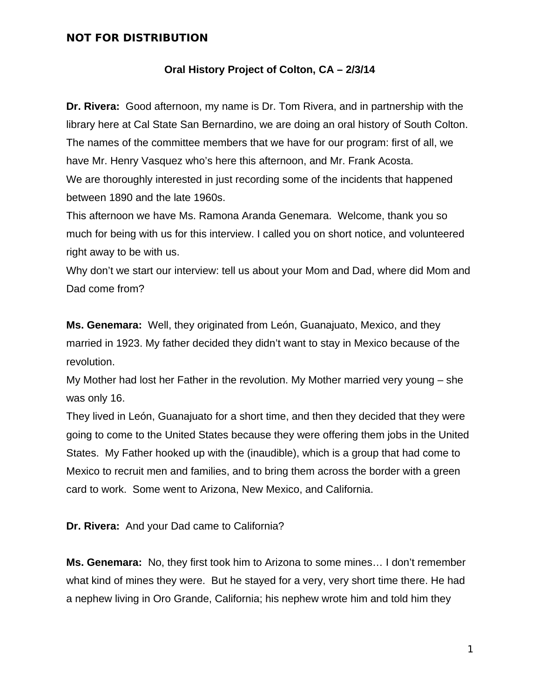#### **Oral History Project of Colton, CA – 2/3/14**

**Dr. Rivera:** Good afternoon, my name is Dr. Tom Rivera, and in partnership with the library here at Cal State San Bernardino, we are doing an oral history of South Colton. The names of the committee members that we have for our program: first of all, we have Mr. Henry Vasquez who's here this afternoon, and Mr. Frank Acosta. We are thoroughly interested in just recording some of the incidents that happened between 1890 and the late 1960s.

This afternoon we have Ms. Ramona Aranda Genemara. Welcome, thank you so much for being with us for this interview. I called you on short notice, and volunteered right away to be with us.

Why don't we start our interview: tell us about your Mom and Dad, where did Mom and Dad come from?

**Ms. Genemara:** Well, they originated from León, Guanajuato, Mexico, and they married in 1923. My father decided they didn't want to stay in Mexico because of the revolution.

My Mother had lost her Father in the revolution. My Mother married very young – she was only 16.

They lived in León, Guanajuato for a short time, and then they decided that they were going to come to the United States because they were offering them jobs in the United States. My Father hooked up with the (inaudible), which is a group that had come to Mexico to recruit men and families, and to bring them across the border with a green card to work. Some went to Arizona, New Mexico, and California.

**Dr. Rivera:** And your Dad came to California?

**Ms. Genemara:** No, they first took him to Arizona to some mines… I don't remember what kind of mines they were. But he stayed for a very, very short time there. He had a nephew living in Oro Grande, California; his nephew wrote him and told him they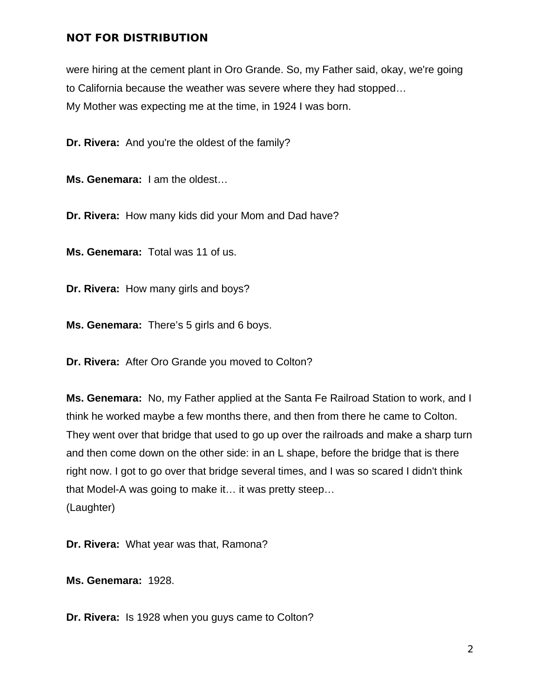were hiring at the cement plant in Oro Grande. So, my Father said, okay, we're going to California because the weather was severe where they had stopped… My Mother was expecting me at the time, in 1924 I was born.

**Dr. Rivera:** And you're the oldest of the family?

**Ms. Genemara:** I am the oldest…

**Dr. Rivera:** How many kids did your Mom and Dad have?

**Ms. Genemara:** Total was 11 of us.

**Dr. Rivera:** How many girls and boys?

**Ms. Genemara:** There's 5 girls and 6 boys.

**Dr. Rivera:** After Oro Grande you moved to Colton?

**Ms. Genemara:** No, my Father applied at the Santa Fe Railroad Station to work, and I think he worked maybe a few months there, and then from there he came to Colton. They went over that bridge that used to go up over the railroads and make a sharp turn and then come down on the other side: in an L shape, before the bridge that is there right now. I got to go over that bridge several times, and I was so scared I didn't think that Model-A was going to make it… it was pretty steep… (Laughter)

**Dr. Rivera:** What year was that, Ramona?

**Ms. Genemara:** 1928.

**Dr. Rivera:** Is 1928 when you guys came to Colton?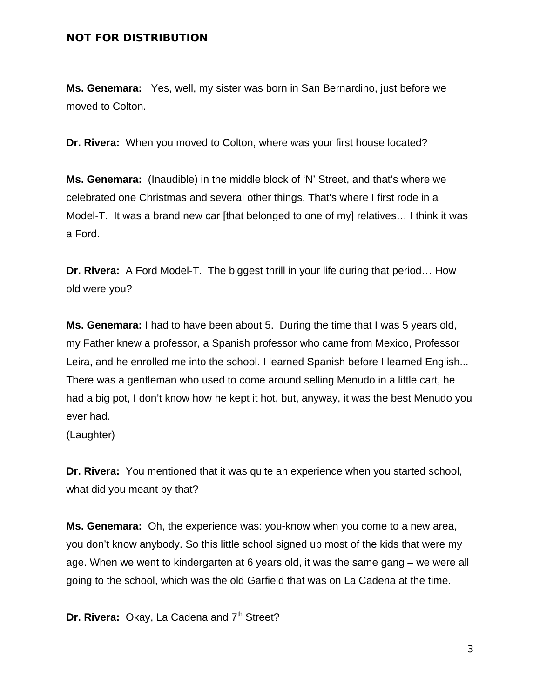**Ms. Genemara:** Yes, well, my sister was born in San Bernardino, just before we moved to Colton.

**Dr. Rivera:** When you moved to Colton, where was your first house located?

**Ms. Genemara:** (Inaudible) in the middle block of 'N' Street, and that's where we celebrated one Christmas and several other things. That's where I first rode in a Model-T. It was a brand new car [that belonged to one of my] relatives… I think it was a Ford.

**Dr. Rivera:** A Ford Model-T. The biggest thrill in your life during that period… How old were you?

**Ms. Genemara:** I had to have been about 5. During the time that I was 5 years old, my Father knew a professor, a Spanish professor who came from Mexico, Professor Leira, and he enrolled me into the school. I learned Spanish before I learned English... There was a gentleman who used to come around selling Menudo in a little cart, he had a big pot, I don't know how he kept it hot, but, anyway, it was the best Menudo you ever had.

(Laughter)

**Dr. Rivera:** You mentioned that it was quite an experience when you started school, what did you meant by that?

**Ms. Genemara:** Oh, the experience was: you-know when you come to a new area, you don't know anybody. So this little school signed up most of the kids that were my age. When we went to kindergarten at 6 years old, it was the same gang – we were all going to the school, which was the old Garfield that was on La Cadena at the time.

**Dr. Rivera: Okay, La Cadena and 7<sup>th</sup> Street?**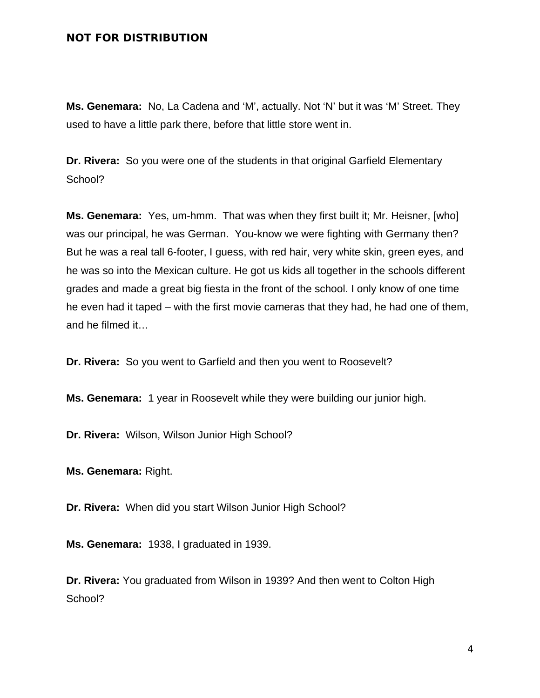**Ms. Genemara:** No, La Cadena and 'M', actually. Not 'N' but it was 'M' Street. They used to have a little park there, before that little store went in.

**Dr. Rivera:** So you were one of the students in that original Garfield Elementary School?

**Ms. Genemara:** Yes, um-hmm. That was when they first built it; Mr. Heisner, [who] was our principal, he was German. You-know we were fighting with Germany then? But he was a real tall 6-footer, I guess, with red hair, very white skin, green eyes, and he was so into the Mexican culture. He got us kids all together in the schools different grades and made a great big fiesta in the front of the school. I only know of one time he even had it taped – with the first movie cameras that they had, he had one of them, and he filmed it…

**Dr. Rivera:** So you went to Garfield and then you went to Roosevelt?

**Ms. Genemara:** 1 year in Roosevelt while they were building our junior high.

**Dr. Rivera:** Wilson, Wilson Junior High School?

**Ms. Genemara:** Right.

**Dr. Rivera:** When did you start Wilson Junior High School?

**Ms. Genemara:** 1938, I graduated in 1939.

**Dr. Rivera:** You graduated from Wilson in 1939? And then went to Colton High School?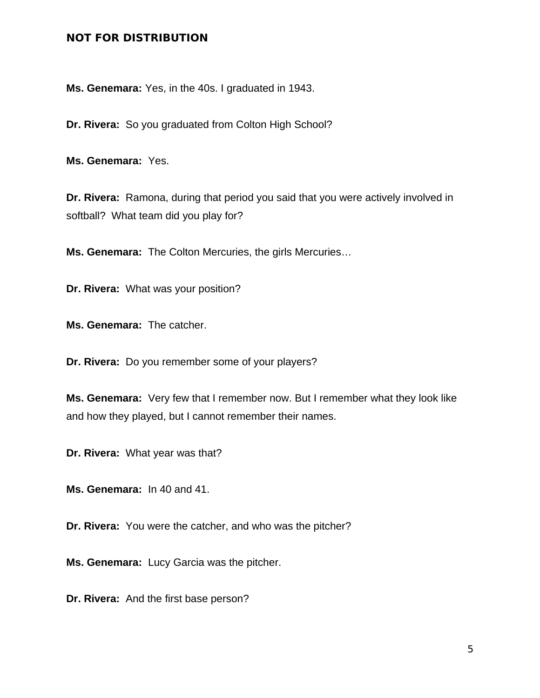**Ms. Genemara:** Yes, in the 40s. I graduated in 1943.

**Dr. Rivera:** So you graduated from Colton High School?

**Ms. Genemara:** Yes.

**Dr. Rivera:** Ramona, during that period you said that you were actively involved in softball? What team did you play for?

**Ms. Genemara:** The Colton Mercuries, the girls Mercuries…

**Dr. Rivera:** What was your position?

**Ms. Genemara:** The catcher.

**Dr. Rivera:** Do you remember some of your players?

**Ms. Genemara:** Very few that I remember now. But I remember what they look like and how they played, but I cannot remember their names.

**Dr. Rivera:** What year was that?

**Ms. Genemara:** In 40 and 41.

**Dr. Rivera:** You were the catcher, and who was the pitcher?

**Ms. Genemara:** Lucy Garcia was the pitcher.

**Dr. Rivera:** And the first base person?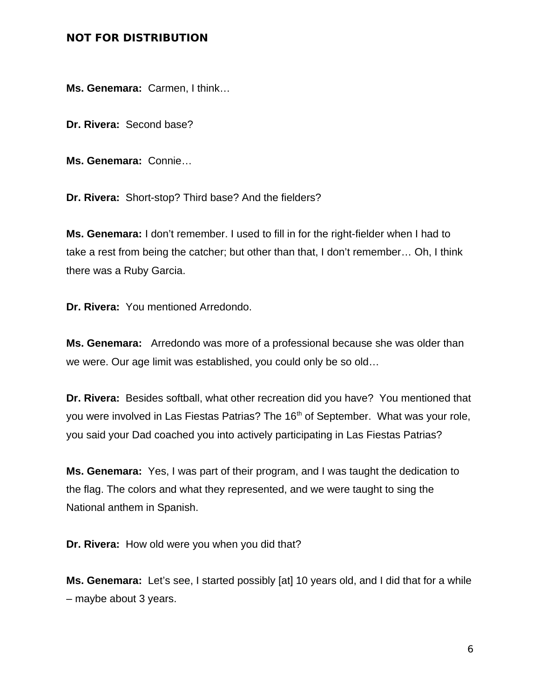**Ms. Genemara:** Carmen, I think…

**Dr. Rivera:** Second base?

**Ms. Genemara:** Connie…

**Dr. Rivera:** Short-stop? Third base? And the fielders?

**Ms. Genemara:** I don't remember. I used to fill in for the right-fielder when I had to take a rest from being the catcher; but other than that, I don't remember… Oh, I think there was a Ruby Garcia.

**Dr. Rivera:** You mentioned Arredondo.

**Ms. Genemara:** Arredondo was more of a professional because she was older than we were. Our age limit was established, you could only be so old…

**Dr. Rivera:** Besides softball, what other recreation did you have? You mentioned that you were involved in Las Fiestas Patrias? The 16<sup>th</sup> of September. What was your role, you said your Dad coached you into actively participating in Las Fiestas Patrias?

**Ms. Genemara:** Yes, I was part of their program, and I was taught the dedication to the flag. The colors and what they represented, and we were taught to sing the National anthem in Spanish.

**Dr. Rivera:** How old were you when you did that?

**Ms. Genemara:** Let's see, I started possibly [at] 10 years old, and I did that for a while – maybe about 3 years.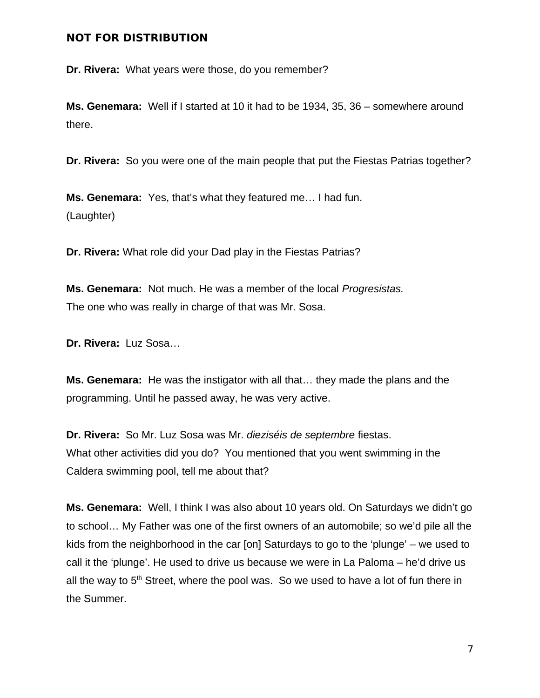**Dr. Rivera:** What years were those, do you remember?

**Ms. Genemara:** Well if I started at 10 it had to be 1934, 35, 36 – somewhere around there.

**Dr. Rivera:** So you were one of the main people that put the Fiestas Patrias together?

**Ms. Genemara:** Yes, that's what they featured me… I had fun. (Laughter)

**Dr. Rivera:** What role did your Dad play in the Fiestas Patrias?

**Ms. Genemara:** Not much. He was a member of the local *Progresistas.* The one who was really in charge of that was Mr. Sosa.

**Dr. Rivera:** Luz Sosa…

**Ms. Genemara:** He was the instigator with all that… they made the plans and the programming. Until he passed away, he was very active.

**Dr. Rivera:** So Mr. Luz Sosa was Mr. *dieziséis de septembre* fiestas. What other activities did you do? You mentioned that you went swimming in the Caldera swimming pool, tell me about that?

**Ms. Genemara:** Well, I think I was also about 10 years old. On Saturdays we didn't go to school… My Father was one of the first owners of an automobile; so we'd pile all the kids from the neighborhood in the car [on] Saturdays to go to the 'plunge' – we used to call it the 'plunge'. He used to drive us because we were in La Paloma – he'd drive us all the way to  $5<sup>th</sup>$  Street, where the pool was. So we used to have a lot of fun there in the Summer.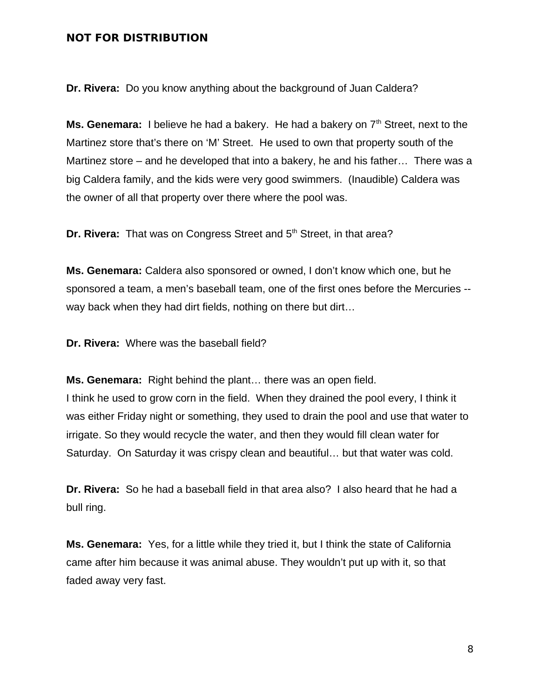**Dr. Rivera:** Do you know anything about the background of Juan Caldera?

**Ms. Genemara:** I believe he had a bakery. He had a bakery on  $7<sup>th</sup>$  Street, next to the Martinez store that's there on 'M' Street. He used to own that property south of the Martinez store – and he developed that into a bakery, he and his father… There was a big Caldera family, and the kids were very good swimmers. (Inaudible) Caldera was the owner of all that property over there where the pool was.

**Dr. Rivera:** That was on Congress Street and 5<sup>th</sup> Street, in that area?

**Ms. Genemara:** Caldera also sponsored or owned, I don't know which one, but he sponsored a team, a men's baseball team, one of the first ones before the Mercuries - way back when they had dirt fields, nothing on there but dirt…

**Dr. Rivera:** Where was the baseball field?

**Ms. Genemara:** Right behind the plant… there was an open field.

I think he used to grow corn in the field. When they drained the pool every, I think it was either Friday night or something, they used to drain the pool and use that water to irrigate. So they would recycle the water, and then they would fill clean water for Saturday. On Saturday it was crispy clean and beautiful… but that water was cold.

**Dr. Rivera:** So he had a baseball field in that area also? I also heard that he had a bull ring.

**Ms. Genemara:** Yes, for a little while they tried it, but I think the state of California came after him because it was animal abuse. They wouldn't put up with it, so that faded away very fast.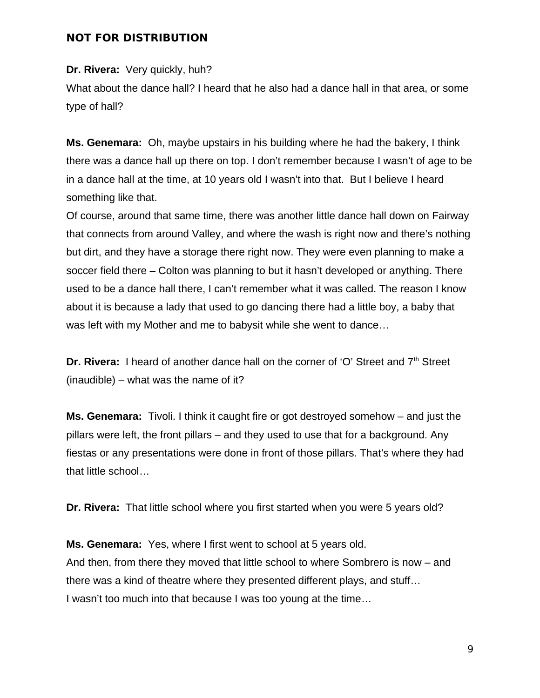**Dr. Rivera:** Very quickly, huh?

What about the dance hall? I heard that he also had a dance hall in that area, or some type of hall?

**Ms. Genemara:** Oh, maybe upstairs in his building where he had the bakery, I think there was a dance hall up there on top. I don't remember because I wasn't of age to be in a dance hall at the time, at 10 years old I wasn't into that. But I believe I heard something like that.

Of course, around that same time, there was another little dance hall down on Fairway that connects from around Valley, and where the wash is right now and there's nothing but dirt, and they have a storage there right now. They were even planning to make a soccer field there – Colton was planning to but it hasn't developed or anything. There used to be a dance hall there, I can't remember what it was called. The reason I know about it is because a lady that used to go dancing there had a little boy, a baby that was left with my Mother and me to babysit while she went to dance…

**Dr. Rivera:** I heard of another dance hall on the corner of 'O' Street and 7<sup>th</sup> Street (inaudible) – what was the name of it?

**Ms. Genemara:** Tivoli. I think it caught fire or got destroyed somehow – and just the pillars were left, the front pillars – and they used to use that for a background. Any fiestas or any presentations were done in front of those pillars. That's where they had that little school…

**Dr. Rivera:** That little school where you first started when you were 5 years old?

**Ms. Genemara:** Yes, where I first went to school at 5 years old. And then, from there they moved that little school to where Sombrero is now – and there was a kind of theatre where they presented different plays, and stuff… I wasn't too much into that because I was too young at the time…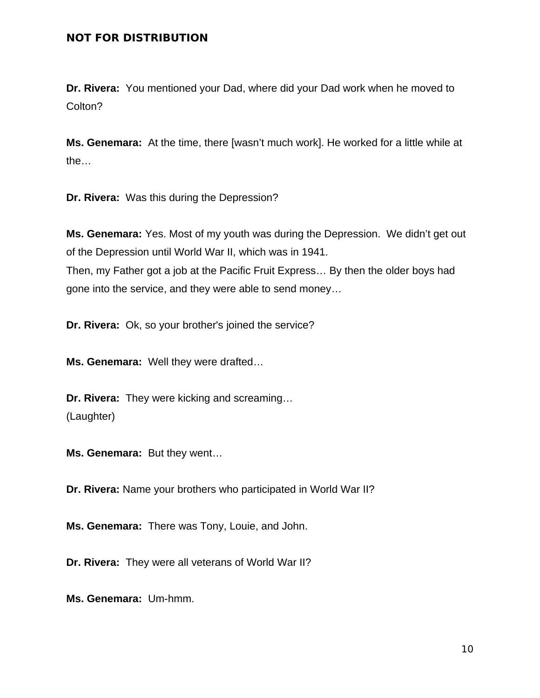**Dr. Rivera:** You mentioned your Dad, where did your Dad work when he moved to Colton?

**Ms. Genemara:** At the time, there [wasn't much work]. He worked for a little while at the…

**Dr. Rivera:** Was this during the Depression?

**Ms. Genemara:** Yes. Most of my youth was during the Depression. We didn't get out of the Depression until World War II, which was in 1941. Then, my Father got a job at the Pacific Fruit Express… By then the older boys had

gone into the service, and they were able to send money…

**Dr. Rivera:** Ok, so your brother's joined the service?

**Ms. Genemara:** Well they were drafted…

**Dr. Rivera:** They were kicking and screaming… (Laughter)

**Ms. Genemara:** But they went…

**Dr. Rivera:** Name your brothers who participated in World War II?

**Ms. Genemara:** There was Tony, Louie, and John.

**Dr. Rivera:** They were all veterans of World War II?

**Ms. Genemara:** Um-hmm.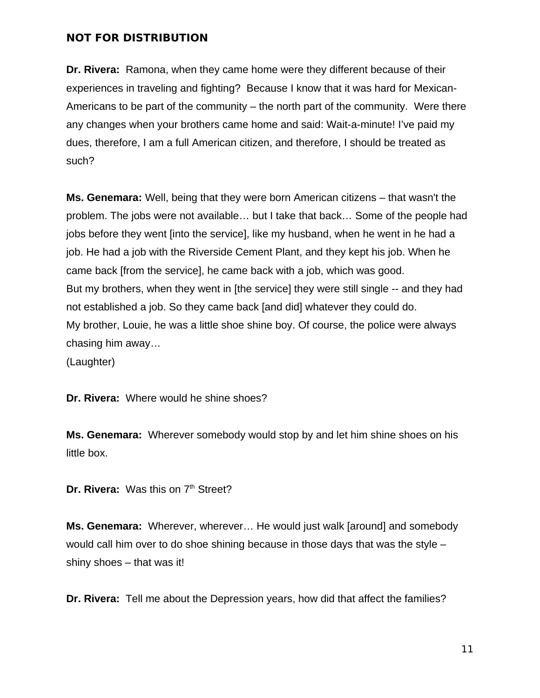**Dr. Rivera:** Ramona, when they came home were they different because of their experiences in traveling and fighting? Because I know that it was hard for Mexican-Americans to be part of the community – the north part of the community. Were there any changes when your brothers came home and said: Wait-a-minute! I've paid my dues, therefore, I am a full American citizen, and therefore, I should be treated as such?

**Ms. Genemara:** Well, being that they were born American citizens – that wasn't the problem. The jobs were not available… but I take that back… Some of the people had jobs before they went [into the service], like my husband, when he went in he had a job. He had a job with the Riverside Cement Plant, and they kept his job. When he came back [from the service], he came back with a job, which was good. But my brothers, when they went in [the service] they were still single -- and they had not established a job. So they came back [and did] whatever they could do. My brother, Louie, he was a little shoe shine boy. Of course, the police were always chasing him away…

(Laughter)

**Dr. Rivera:** Where would he shine shoes?

**Ms. Genemara:** Wherever somebody would stop by and let him shine shoes on his little box.

**Dr. Rivera: Was this on 7<sup>th</sup> Street?** 

**Ms. Genemara:** Wherever, wherever… He would just walk [around] and somebody would call him over to do shoe shining because in those days that was the style – shiny shoes – that was it!

**Dr. Rivera:** Tell me about the Depression years, how did that affect the families?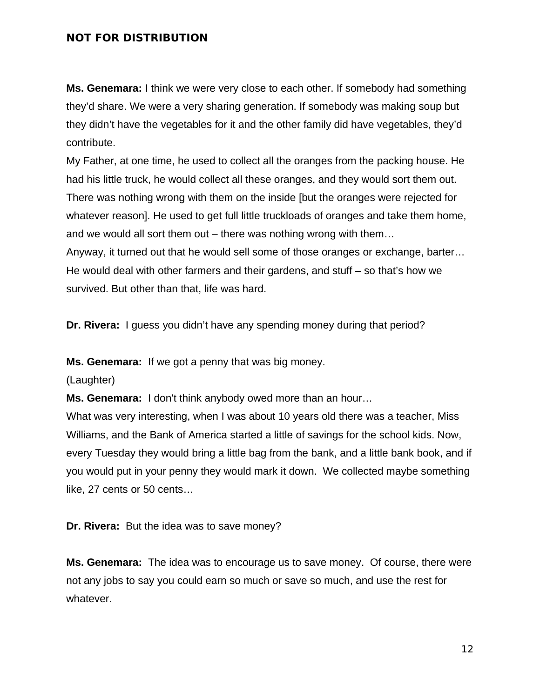**Ms. Genemara:** I think we were very close to each other. If somebody had something they'd share. We were a very sharing generation. If somebody was making soup but they didn't have the vegetables for it and the other family did have vegetables, they'd contribute.

My Father, at one time, he used to collect all the oranges from the packing house. He had his little truck, he would collect all these oranges, and they would sort them out. There was nothing wrong with them on the inside [but the oranges were rejected for whatever reason]. He used to get full little truckloads of oranges and take them home, and we would all sort them out – there was nothing wrong with them… Anyway, it turned out that he would sell some of those oranges or exchange, barter… He would deal with other farmers and their gardens, and stuff – so that's how we survived. But other than that, life was hard.

**Dr. Rivera:** I guess you didn't have any spending money during that period?

**Ms. Genemara:** If we got a penny that was big money.

(Laughter)

**Ms. Genemara:** I don't think anybody owed more than an hour…

What was very interesting, when I was about 10 years old there was a teacher, Miss Williams, and the Bank of America started a little of savings for the school kids. Now, every Tuesday they would bring a little bag from the bank, and a little bank book, and if you would put in your penny they would mark it down. We collected maybe something like, 27 cents or 50 cents…

**Dr. Rivera:** But the idea was to save money?

**Ms. Genemara:** The idea was to encourage us to save money. Of course, there were not any jobs to say you could earn so much or save so much, and use the rest for whatever.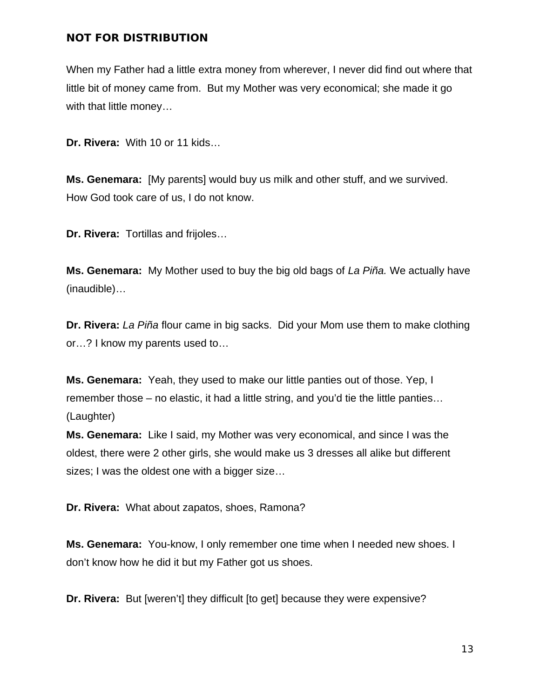When my Father had a little extra money from wherever, I never did find out where that little bit of money came from. But my Mother was very economical; she made it go with that little money...

**Dr. Rivera:** With 10 or 11 kids…

**Ms. Genemara:** [My parents] would buy us milk and other stuff, and we survived. How God took care of us, I do not know.

**Dr. Rivera:** Tortillas and frijoles…

**Ms. Genemara:** My Mother used to buy the big old bags of *La Piña.* We actually have (inaudible)…

**Dr. Rivera:** *La Piña* flour came in big sacks. Did your Mom use them to make clothing or…? I know my parents used to…

**Ms. Genemara:** Yeah, they used to make our little panties out of those. Yep, I remember those – no elastic, it had a little string, and you'd tie the little panties… (Laughter)

**Ms. Genemara:** Like I said, my Mother was very economical, and since I was the oldest, there were 2 other girls, she would make us 3 dresses all alike but different sizes; I was the oldest one with a bigger size…

**Dr. Rivera:** What about zapatos, shoes, Ramona?

**Ms. Genemara:** You-know, I only remember one time when I needed new shoes. I don't know how he did it but my Father got us shoes.

**Dr. Rivera:** But [weren't] they difficult [to get] because they were expensive?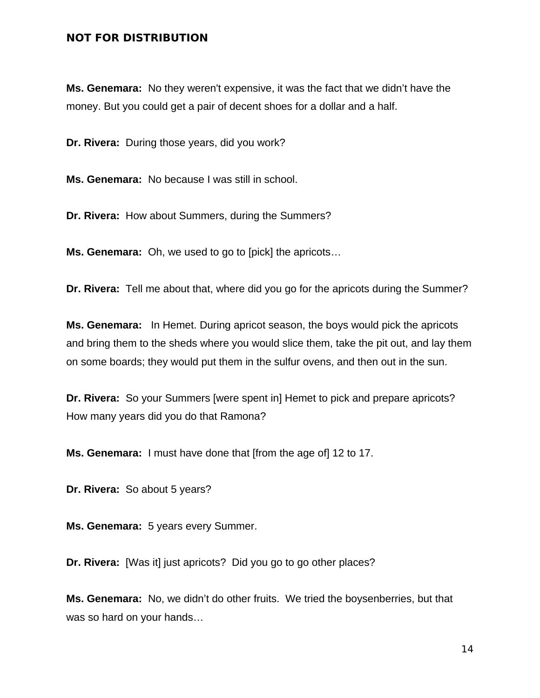**Ms. Genemara:** No they weren't expensive, it was the fact that we didn't have the money. But you could get a pair of decent shoes for a dollar and a half.

**Dr. Rivera:** During those years, did you work?

**Ms. Genemara:** No because I was still in school.

**Dr. Rivera:** How about Summers, during the Summers?

**Ms. Genemara:** Oh, we used to go to [pick] the apricots…

**Dr. Rivera:** Tell me about that, where did you go for the apricots during the Summer?

**Ms. Genemara:** In Hemet. During apricot season, the boys would pick the apricots and bring them to the sheds where you would slice them, take the pit out, and lay them on some boards; they would put them in the sulfur ovens, and then out in the sun.

**Dr. Rivera:** So your Summers [were spent in] Hemet to pick and prepare apricots? How many years did you do that Ramona?

**Ms. Genemara:** I must have done that [from the age of] 12 to 17.

**Dr. Rivera:** So about 5 years?

**Ms. Genemara:** 5 years every Summer.

**Dr. Rivera:** [Was it] just apricots? Did you go to go other places?

**Ms. Genemara:** No, we didn't do other fruits. We tried the boysenberries, but that was so hard on your hands…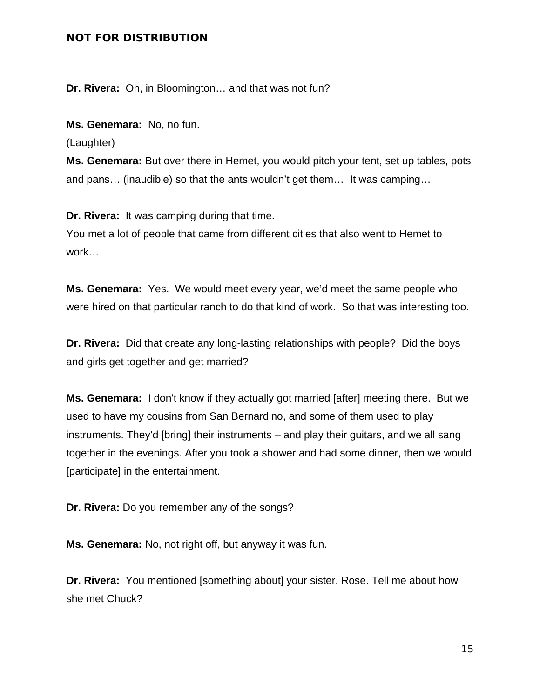**Dr. Rivera:** Oh, in Bloomington… and that was not fun?

**Ms. Genemara:** No, no fun.

(Laughter)

**Ms. Genemara:** But over there in Hemet, you would pitch your tent, set up tables, pots and pans… (inaudible) so that the ants wouldn't get them… It was camping…

**Dr. Rivera:** It was camping during that time.

You met a lot of people that came from different cities that also went to Hemet to work…

**Ms. Genemara:** Yes. We would meet every year, we'd meet the same people who were hired on that particular ranch to do that kind of work. So that was interesting too.

**Dr. Rivera:** Did that create any long-lasting relationships with people? Did the boys and girls get together and get married?

**Ms. Genemara:** I don't know if they actually got married [after] meeting there. But we used to have my cousins from San Bernardino, and some of them used to play instruments. They'd [bring] their instruments – and play their guitars, and we all sang together in the evenings. After you took a shower and had some dinner, then we would [participate] in the entertainment.

**Dr. Rivera:** Do you remember any of the songs?

**Ms. Genemara:** No, not right off, but anyway it was fun.

**Dr. Rivera:** You mentioned [something about] your sister, Rose. Tell me about how she met Chuck?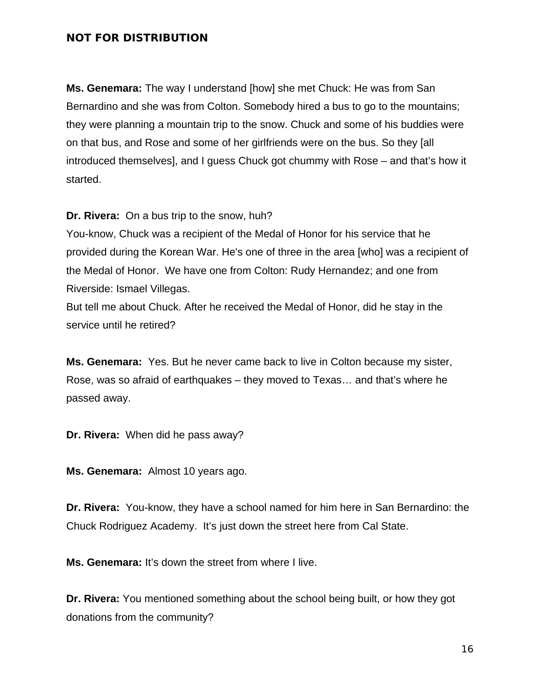**Ms. Genemara:** The way I understand [how] she met Chuck: He was from San Bernardino and she was from Colton. Somebody hired a bus to go to the mountains; they were planning a mountain trip to the snow. Chuck and some of his buddies were on that bus, and Rose and some of her girlfriends were on the bus. So they [all introduced themselves], and I guess Chuck got chummy with Rose – and that's how it started.

**Dr. Rivera:** On a bus trip to the snow, huh?

You-know, Chuck was a recipient of the Medal of Honor for his service that he provided during the Korean War. He's one of three in the area [who] was a recipient of the Medal of Honor. We have one from Colton: Rudy Hernandez; and one from Riverside: Ismael Villegas.

But tell me about Chuck. After he received the Medal of Honor, did he stay in the service until he retired?

**Ms. Genemara:** Yes. But he never came back to live in Colton because my sister, Rose, was so afraid of earthquakes – they moved to Texas… and that's where he passed away.

**Dr. Rivera:** When did he pass away?

**Ms. Genemara:** Almost 10 years ago.

**Dr. Rivera:** You-know, they have a school named for him here in San Bernardino: the Chuck Rodriguez Academy. It's just down the street here from Cal State.

**Ms. Genemara:** It's down the street from where I live.

**Dr. Rivera:** You mentioned something about the school being built, or how they got donations from the community?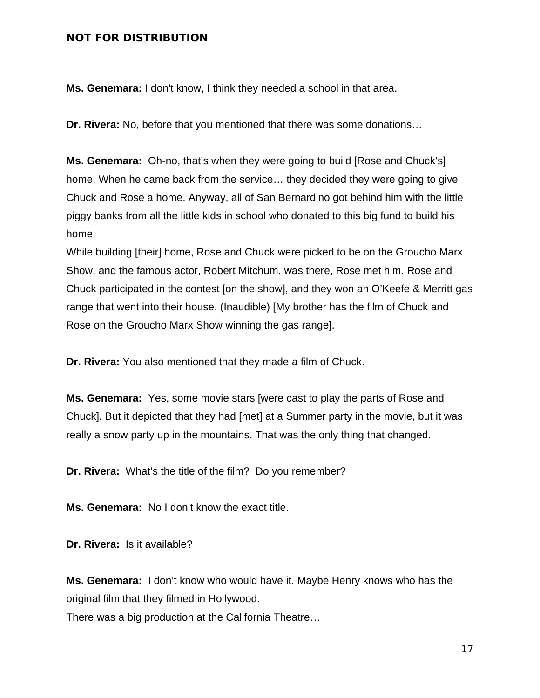**Ms. Genemara:** I don't know, I think they needed a school in that area.

**Dr. Rivera:** No, before that you mentioned that there was some donations…

**Ms. Genemara:** Oh-no, that's when they were going to build [Rose and Chuck's] home. When he came back from the service… they decided they were going to give Chuck and Rose a home. Anyway, all of San Bernardino got behind him with the little piggy banks from all the little kids in school who donated to this big fund to build his home.

While building [their] home, Rose and Chuck were picked to be on the Groucho Marx Show, and the famous actor, Robert Mitchum, was there, Rose met him. Rose and Chuck participated in the contest [on the show], and they won an O'Keefe & Merritt gas range that went into their house. (Inaudible) [My brother has the film of Chuck and Rose on the Groucho Marx Show winning the gas range].

**Dr. Rivera:** You also mentioned that they made a film of Chuck.

**Ms. Genemara:** Yes, some movie stars [were cast to play the parts of Rose and Chuck]. But it depicted that they had [met] at a Summer party in the movie, but it was really a snow party up in the mountains. That was the only thing that changed.

**Dr. Rivera:** What's the title of the film? Do you remember?

**Ms. Genemara:** No I don't know the exact title.

**Dr. Rivera:** Is it available?

**Ms. Genemara:** I don't know who would have it. Maybe Henry knows who has the original film that they filmed in Hollywood.

There was a big production at the California Theatre…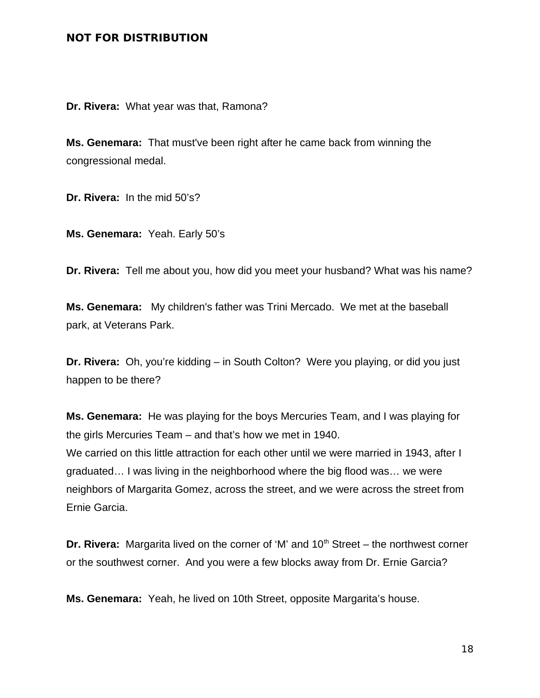**Dr. Rivera:** What year was that, Ramona?

**Ms. Genemara:** That must've been right after he came back from winning the congressional medal.

**Dr. Rivera:** In the mid 50's?

**Ms. Genemara:** Yeah. Early 50's

**Dr. Rivera:** Tell me about you, how did you meet your husband? What was his name?

**Ms. Genemara:** My children's father was Trini Mercado. We met at the baseball park, at Veterans Park.

**Dr. Rivera:** Oh, you're kidding – in South Colton? Were you playing, or did you just happen to be there?

**Ms. Genemara:** He was playing for the boys Mercuries Team, and I was playing for the girls Mercuries Team – and that's how we met in 1940.

We carried on this little attraction for each other until we were married in 1943, after I graduated… I was living in the neighborhood where the big flood was… we were neighbors of Margarita Gomez, across the street, and we were across the street from Ernie Garcia.

**Dr. Rivera:** Margarita lived on the corner of 'M' and 10<sup>th</sup> Street – the northwest corner or the southwest corner. And you were a few blocks away from Dr. Ernie Garcia?

**Ms. Genemara:** Yeah, he lived on 10th Street, opposite Margarita's house.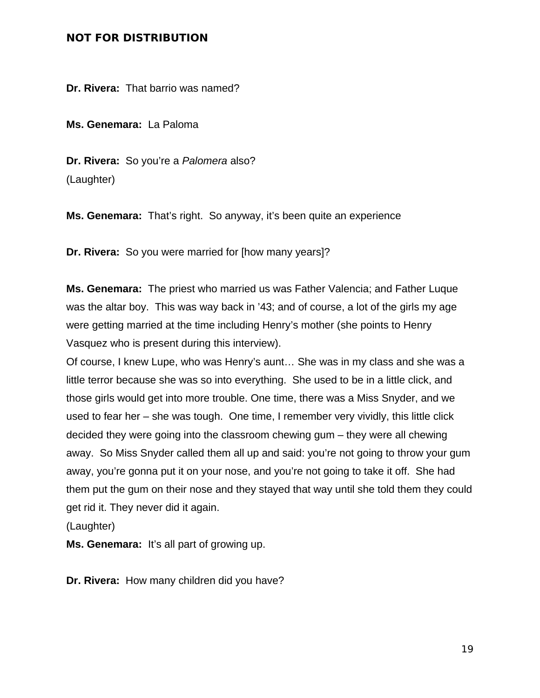**Dr. Rivera:** That barrio was named?

**Ms. Genemara:** La Paloma

**Dr. Rivera:** So you're a *Palomera* also? (Laughter)

**Ms. Genemara:** That's right. So anyway, it's been quite an experience

**Dr. Rivera:** So you were married for [how many years]?

**Ms. Genemara:** The priest who married us was Father Valencia; and Father Luque was the altar boy. This was way back in '43; and of course, a lot of the girls my age were getting married at the time including Henry's mother (she points to Henry Vasquez who is present during this interview).

Of course, I knew Lupe, who was Henry's aunt… She was in my class and she was a little terror because she was so into everything. She used to be in a little click, and those girls would get into more trouble. One time, there was a Miss Snyder, and we used to fear her – she was tough. One time, I remember very vividly, this little click decided they were going into the classroom chewing gum – they were all chewing away. So Miss Snyder called them all up and said: you're not going to throw your gum away, you're gonna put it on your nose, and you're not going to take it off. She had them put the gum on their nose and they stayed that way until she told them they could get rid it. They never did it again.

(Laughter)

**Ms. Genemara:** It's all part of growing up.

**Dr. Rivera:** How many children did you have?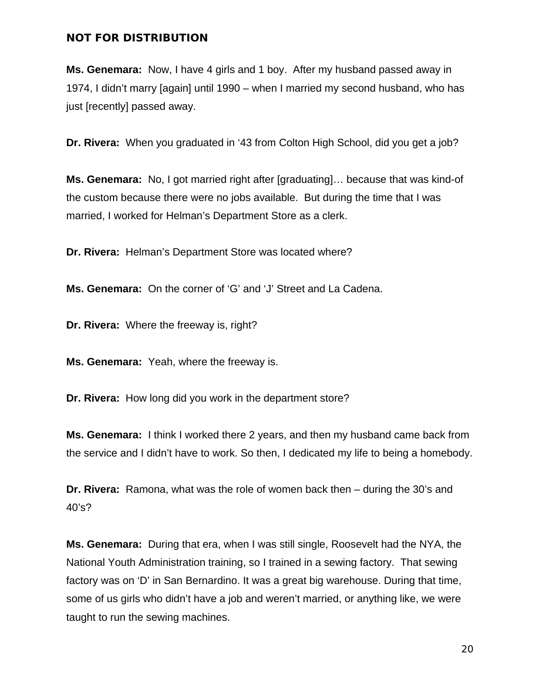**Ms. Genemara:** Now, I have 4 girls and 1 boy. After my husband passed away in 1974, I didn't marry [again] until 1990 – when I married my second husband, who has just [recently] passed away.

**Dr. Rivera:** When you graduated in '43 from Colton High School, did you get a job?

**Ms. Genemara:** No, I got married right after [graduating]… because that was kind-of the custom because there were no jobs available. But during the time that I was married, I worked for Helman's Department Store as a clerk.

**Dr. Rivera:** Helman's Department Store was located where?

**Ms. Genemara:** On the corner of 'G' and 'J' Street and La Cadena.

**Dr. Rivera:** Where the freeway is, right?

**Ms. Genemara:** Yeah, where the freeway is.

**Dr. Rivera:** How long did you work in the department store?

**Ms. Genemara:** I think I worked there 2 years, and then my husband came back from the service and I didn't have to work. So then, I dedicated my life to being a homebody.

**Dr. Rivera:** Ramona, what was the role of women back then – during the 30's and 40's?

**Ms. Genemara:** During that era, when I was still single, Roosevelt had the NYA, the National Youth Administration training, so I trained in a sewing factory. That sewing factory was on 'D' in San Bernardino. It was a great big warehouse. During that time, some of us girls who didn't have a job and weren't married, or anything like, we were taught to run the sewing machines.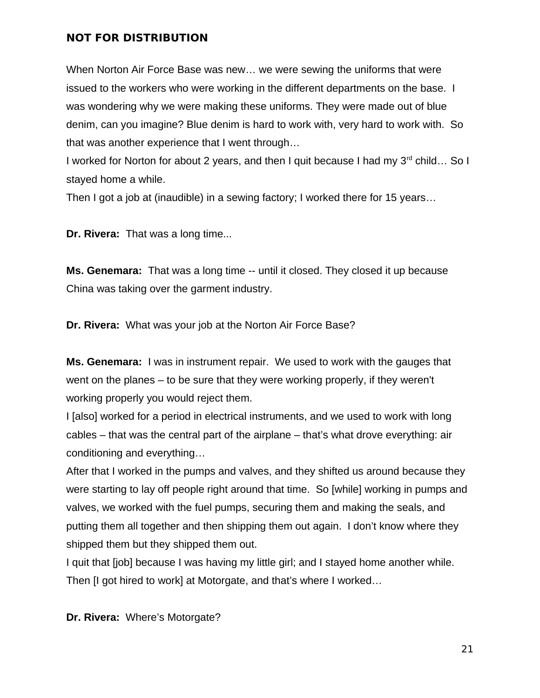When Norton Air Force Base was new… we were sewing the uniforms that were issued to the workers who were working in the different departments on the base. I was wondering why we were making these uniforms. They were made out of blue denim, can you imagine? Blue denim is hard to work with, very hard to work with. So that was another experience that I went through…

I worked for Norton for about 2 years, and then I quit because I had my 3<sup>rd</sup> child... So I stayed home a while.

Then I got a job at (inaudible) in a sewing factory; I worked there for 15 years…

**Dr. Rivera:** That was a long time...

**Ms. Genemara:** That was a long time -- until it closed. They closed it up because China was taking over the garment industry.

**Dr. Rivera:** What was your job at the Norton Air Force Base?

**Ms. Genemara:** I was in instrument repair. We used to work with the gauges that went on the planes – to be sure that they were working properly, if they weren't working properly you would reject them.

I [also] worked for a period in electrical instruments, and we used to work with long cables – that was the central part of the airplane – that's what drove everything: air conditioning and everything…

After that I worked in the pumps and valves, and they shifted us around because they were starting to lay off people right around that time. So [while] working in pumps and valves, we worked with the fuel pumps, securing them and making the seals, and putting them all together and then shipping them out again. I don't know where they shipped them but they shipped them out.

I quit that [job] because I was having my little girl; and I stayed home another while. Then [I got hired to work] at Motorgate, and that's where I worked…

**Dr. Rivera:** Where's Motorgate?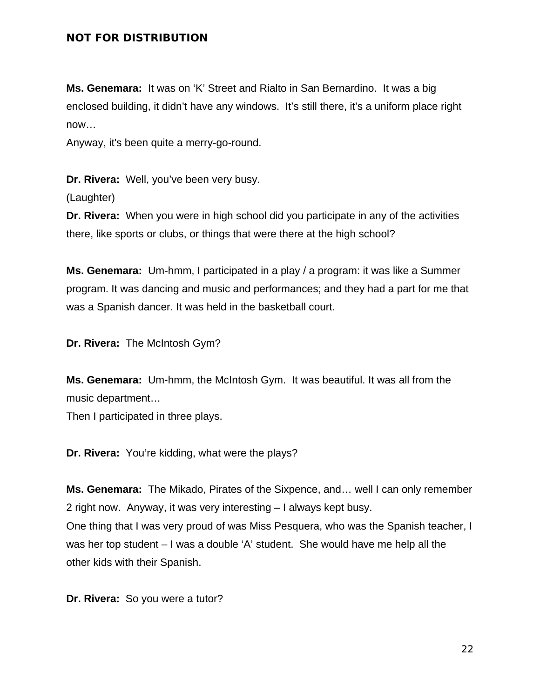**Ms. Genemara:** It was on 'K' Street and Rialto in San Bernardino. It was a big enclosed building, it didn't have any windows. It's still there, it's a uniform place right now…

Anyway, it's been quite a merry-go-round.

**Dr. Rivera:** Well, you've been very busy. (Laughter)

**Dr. Rivera:** When you were in high school did you participate in any of the activities there, like sports or clubs, or things that were there at the high school?

**Ms. Genemara:** Um-hmm, I participated in a play / a program: it was like a Summer program. It was dancing and music and performances; and they had a part for me that was a Spanish dancer. It was held in the basketball court.

**Dr. Rivera:** The McIntosh Gym?

**Ms. Genemara:** Um-hmm, the McIntosh Gym. It was beautiful. It was all from the music department…

Then I participated in three plays.

**Dr. Rivera:** You're kidding, what were the plays?

**Ms. Genemara:** The Mikado, Pirates of the Sixpence, and… well I can only remember 2 right now. Anyway, it was very interesting – I always kept busy. One thing that I was very proud of was Miss Pesquera, who was the Spanish teacher, I was her top student – I was a double 'A' student. She would have me help all the other kids with their Spanish.

**Dr. Rivera:** So you were a tutor?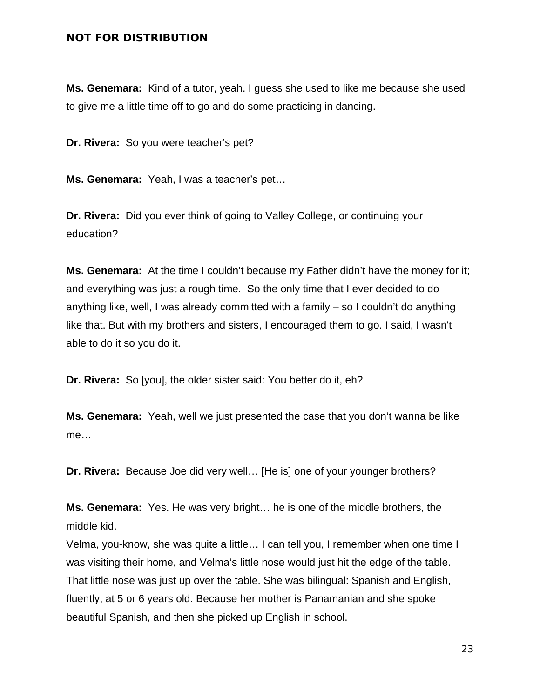**Ms. Genemara:** Kind of a tutor, yeah. I guess she used to like me because she used to give me a little time off to go and do some practicing in dancing.

**Dr. Rivera:** So you were teacher's pet?

**Ms. Genemara:** Yeah, I was a teacher's pet…

**Dr. Rivera:** Did you ever think of going to Valley College, or continuing your education?

**Ms. Genemara:** At the time I couldn't because my Father didn't have the money for it; and everything was just a rough time. So the only time that I ever decided to do anything like, well, I was already committed with a family – so I couldn't do anything like that. But with my brothers and sisters, I encouraged them to go. I said, I wasn't able to do it so you do it.

**Dr. Rivera:** So [you], the older sister said: You better do it, eh?

**Ms. Genemara:** Yeah, well we just presented the case that you don't wanna be like me…

**Dr. Rivera:** Because Joe did very well… [He is] one of your younger brothers?

**Ms. Genemara:** Yes. He was very bright… he is one of the middle brothers, the middle kid.

Velma, you-know, she was quite a little… I can tell you, I remember when one time I was visiting their home, and Velma's little nose would just hit the edge of the table. That little nose was just up over the table. She was bilingual: Spanish and English, fluently, at 5 or 6 years old. Because her mother is Panamanian and she spoke beautiful Spanish, and then she picked up English in school.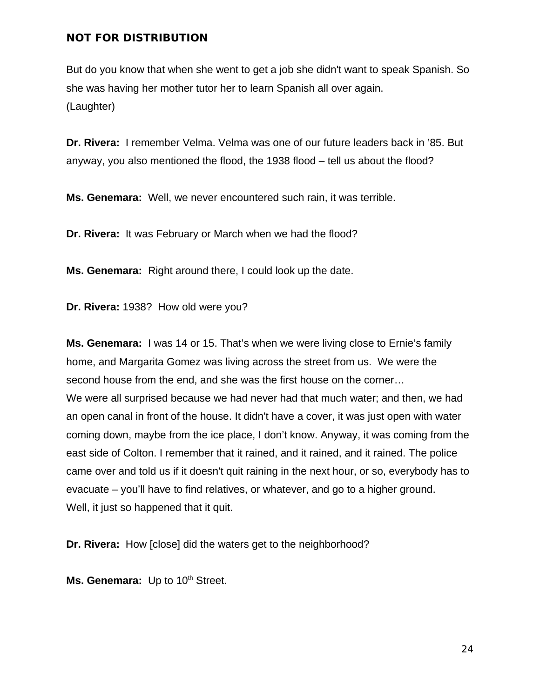But do you know that when she went to get a job she didn't want to speak Spanish. So she was having her mother tutor her to learn Spanish all over again. (Laughter)

**Dr. Rivera:** I remember Velma. Velma was one of our future leaders back in '85. But anyway, you also mentioned the flood, the 1938 flood – tell us about the flood?

**Ms. Genemara:** Well, we never encountered such rain, it was terrible.

**Dr. Rivera:** It was February or March when we had the flood?

**Ms. Genemara:** Right around there, I could look up the date.

**Dr. Rivera:** 1938? How old were you?

**Ms. Genemara:** I was 14 or 15. That's when we were living close to Ernie's family home, and Margarita Gomez was living across the street from us. We were the second house from the end, and she was the first house on the corner… We were all surprised because we had never had that much water; and then, we had an open canal in front of the house. It didn't have a cover, it was just open with water coming down, maybe from the ice place, I don't know. Anyway, it was coming from the east side of Colton. I remember that it rained, and it rained, and it rained. The police came over and told us if it doesn't quit raining in the next hour, or so, everybody has to evacuate – you'll have to find relatives, or whatever, and go to a higher ground. Well, it just so happened that it quit.

**Dr. Rivera:** How [close] did the waters get to the neighborhood?

Ms. Genemara: Up to 10<sup>th</sup> Street.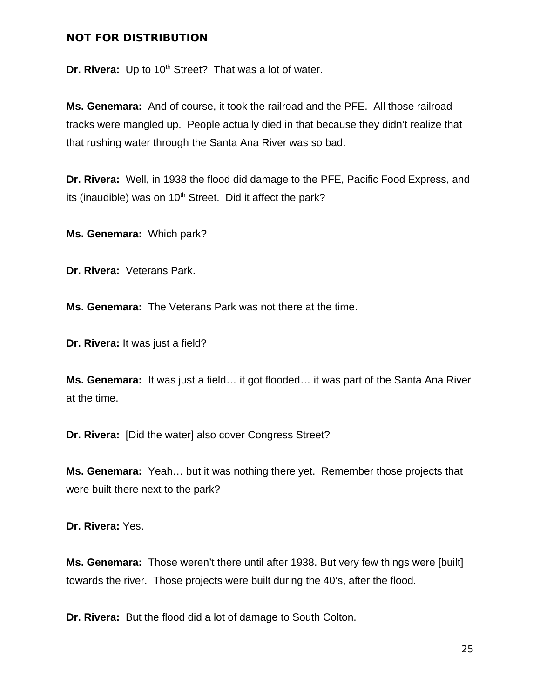**Dr. Rivera:** Up to 10<sup>th</sup> Street? That was a lot of water.

**Ms. Genemara:** And of course, it took the railroad and the PFE. All those railroad tracks were mangled up. People actually died in that because they didn't realize that that rushing water through the Santa Ana River was so bad.

**Dr. Rivera:** Well, in 1938 the flood did damage to the PFE, Pacific Food Express, and its (inaudible) was on  $10<sup>th</sup>$  Street. Did it affect the park?

**Ms. Genemara:** Which park?

**Dr. Rivera:** Veterans Park.

**Ms. Genemara:** The Veterans Park was not there at the time.

**Dr. Rivera:** It was just a field?

**Ms. Genemara:** It was just a field… it got flooded… it was part of the Santa Ana River at the time.

**Dr. Rivera:** [Did the water] also cover Congress Street?

**Ms. Genemara:** Yeah… but it was nothing there yet. Remember those projects that were built there next to the park?

**Dr. Rivera:** Yes.

**Ms. Genemara:** Those weren't there until after 1938. But very few things were [built] towards the river. Those projects were built during the 40's, after the flood.

**Dr. Rivera:** But the flood did a lot of damage to South Colton.

25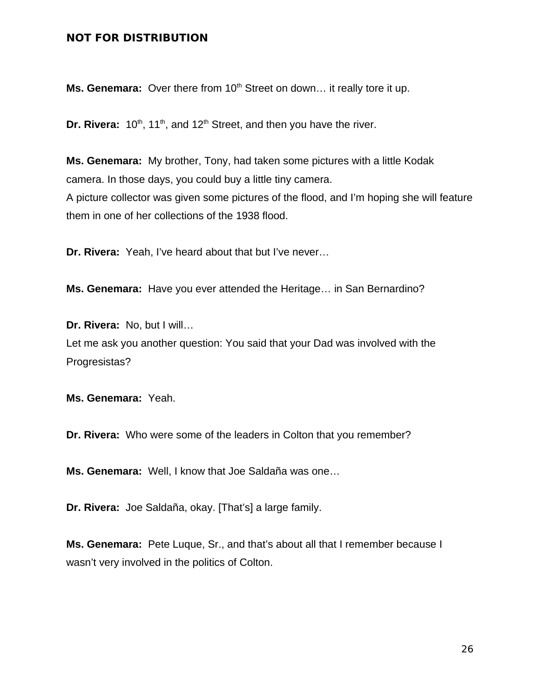Ms. Genemara: Over there from 10<sup>th</sup> Street on down... it really tore it up.

**Dr. Rivera:**  $10^{th}$ ,  $11^{th}$ , and  $12^{th}$  Street, and then you have the river.

**Ms. Genemara:** My brother, Tony, had taken some pictures with a little Kodak camera. In those days, you could buy a little tiny camera. A picture collector was given some pictures of the flood, and I'm hoping she will feature them in one of her collections of the 1938 flood.

**Dr. Rivera:** Yeah, I've heard about that but I've never…

**Ms. Genemara:** Have you ever attended the Heritage… in San Bernardino?

**Dr. Rivera:** No, but I will… Let me ask you another question: You said that your Dad was involved with the Progresistas?

**Ms. Genemara:** Yeah.

**Dr. Rivera:** Who were some of the leaders in Colton that you remember?

**Ms. Genemara:** Well, I know that Joe Saldaña was one…

**Dr. Rivera:** Joe Saldaña, okay. [That's] a large family.

**Ms. Genemara:** Pete Luque, Sr., and that's about all that I remember because I wasn't very involved in the politics of Colton.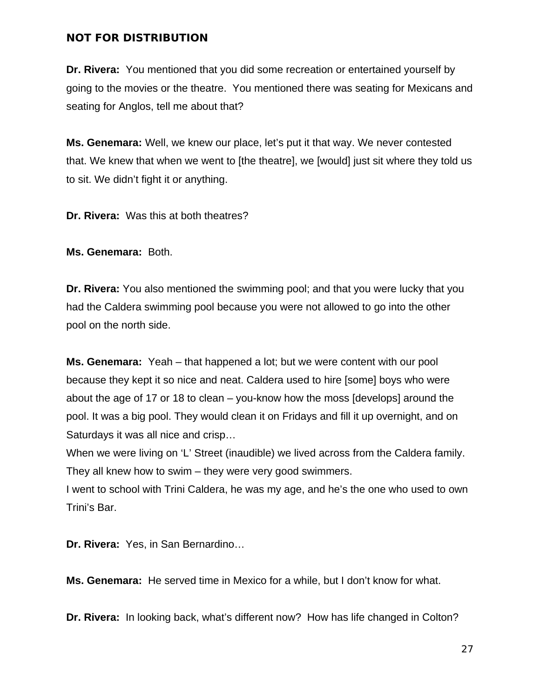**Dr. Rivera:** You mentioned that you did some recreation or entertained yourself by going to the movies or the theatre. You mentioned there was seating for Mexicans and seating for Anglos, tell me about that?

**Ms. Genemara:** Well, we knew our place, let's put it that way. We never contested that. We knew that when we went to [the theatre], we [would] just sit where they told us to sit. We didn't fight it or anything.

**Dr. Rivera:** Was this at both theatres?

**Ms. Genemara:** Both.

**Dr. Rivera:** You also mentioned the swimming pool; and that you were lucky that you had the Caldera swimming pool because you were not allowed to go into the other pool on the north side.

**Ms. Genemara:** Yeah – that happened a lot; but we were content with our pool because they kept it so nice and neat. Caldera used to hire [some] boys who were about the age of 17 or 18 to clean – you-know how the moss [develops] around the pool. It was a big pool. They would clean it on Fridays and fill it up overnight, and on Saturdays it was all nice and crisp…

When we were living on 'L' Street (inaudible) we lived across from the Caldera family. They all knew how to swim – they were very good swimmers.

I went to school with Trini Caldera, he was my age, and he's the one who used to own Trini's Bar.

**Dr. Rivera:** Yes, in San Bernardino…

**Ms. Genemara:** He served time in Mexico for a while, but I don't know for what.

**Dr. Rivera:** In looking back, what's different now? How has life changed in Colton?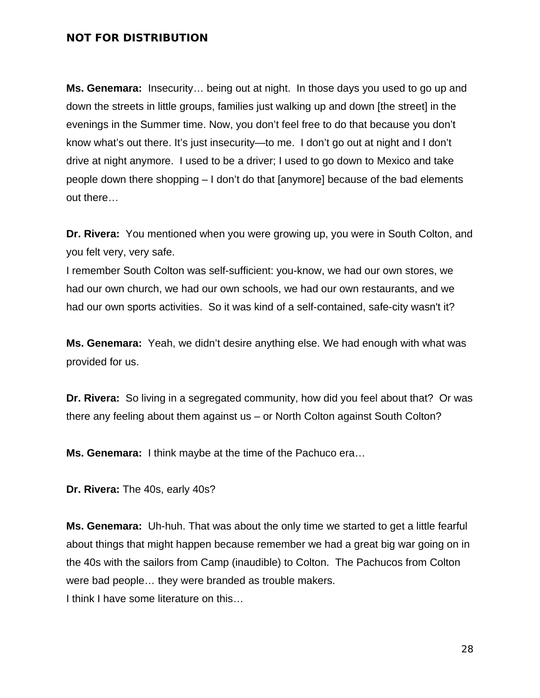**Ms. Genemara:** Insecurity… being out at night. In those days you used to go up and down the streets in little groups, families just walking up and down [the street] in the evenings in the Summer time. Now, you don't feel free to do that because you don't know what's out there. It's just insecurity—to me. I don't go out at night and I don't drive at night anymore. I used to be a driver; I used to go down to Mexico and take people down there shopping – I don't do that [anymore] because of the bad elements out there…

**Dr. Rivera:** You mentioned when you were growing up, you were in South Colton, and you felt very, very safe.

I remember South Colton was self-sufficient: you-know, we had our own stores, we had our own church, we had our own schools, we had our own restaurants, and we had our own sports activities. So it was kind of a self-contained, safe-city wasn't it?

**Ms. Genemara:** Yeah, we didn't desire anything else. We had enough with what was provided for us.

**Dr. Rivera:** So living in a segregated community, how did you feel about that? Or was there any feeling about them against us – or North Colton against South Colton?

**Ms. Genemara:** I think maybe at the time of the Pachuco era…

**Dr. Rivera:** The 40s, early 40s?

**Ms. Genemara:** Uh-huh. That was about the only time we started to get a little fearful about things that might happen because remember we had a great big war going on in the 40s with the sailors from Camp (inaudible) to Colton. The Pachucos from Colton were bad people… they were branded as trouble makers.

I think I have some literature on this…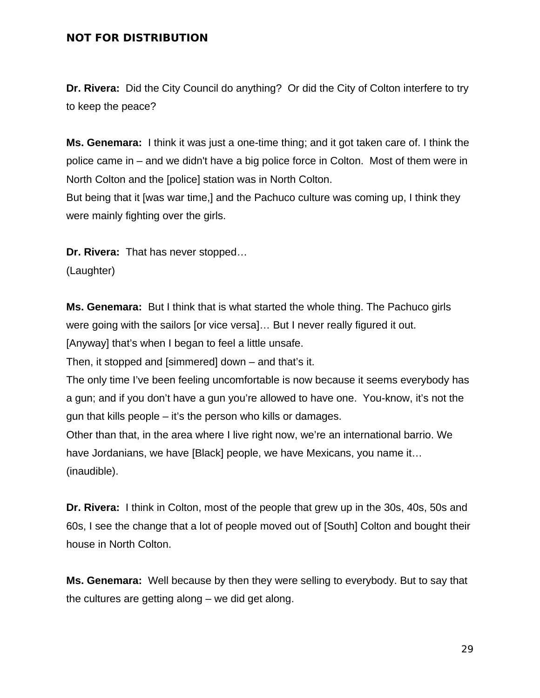**Dr. Rivera:** Did the City Council do anything? Or did the City of Colton interfere to try to keep the peace?

**Ms. Genemara:** I think it was just a one-time thing; and it got taken care of. I think the police came in – and we didn't have a big police force in Colton. Most of them were in North Colton and the [police] station was in North Colton.

But being that it [was war time,] and the Pachuco culture was coming up, I think they were mainly fighting over the girls.

**Dr. Rivera:** That has never stopped…

(Laughter)

**Ms. Genemara:** But I think that is what started the whole thing. The Pachuco girls were going with the sailors [or vice versa]… But I never really figured it out. [Anyway] that's when I began to feel a little unsafe.

Then, it stopped and [simmered] down – and that's it.

The only time I've been feeling uncomfortable is now because it seems everybody has a gun; and if you don't have a gun you're allowed to have one. You-know, it's not the gun that kills people – it's the person who kills or damages.

Other than that, in the area where I live right now, we're an international barrio. We have Jordanians, we have [Black] people, we have Mexicans, you name it… (inaudible).

**Dr. Rivera:** I think in Colton, most of the people that grew up in the 30s, 40s, 50s and 60s, I see the change that a lot of people moved out of [South] Colton and bought their house in North Colton.

**Ms. Genemara:** Well because by then they were selling to everybody. But to say that the cultures are getting along – we did get along.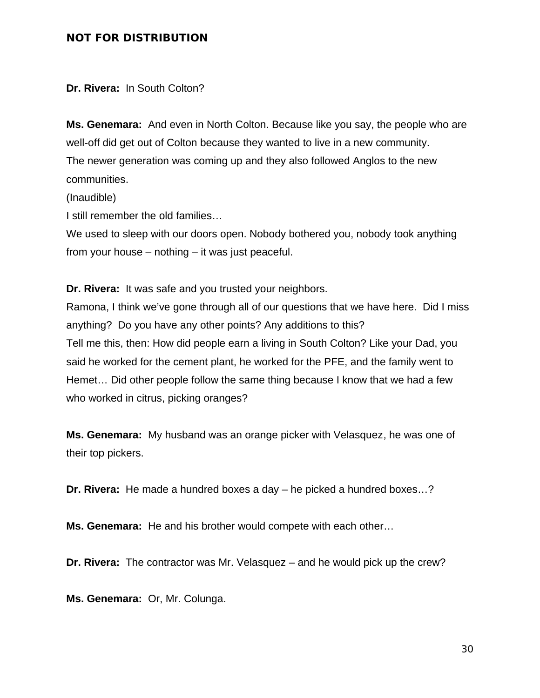**Dr. Rivera:** In South Colton?

**Ms. Genemara:** And even in North Colton. Because like you say, the people who are well-off did get out of Colton because they wanted to live in a new community. The newer generation was coming up and they also followed Anglos to the new communities.

(Inaudible)

I still remember the old families…

We used to sleep with our doors open. Nobody bothered you, nobody took anything from your house – nothing – it was just peaceful.

**Dr. Rivera:** It was safe and you trusted your neighbors.

Ramona, I think we've gone through all of our questions that we have here. Did I miss anything? Do you have any other points? Any additions to this? Tell me this, then: How did people earn a living in South Colton? Like your Dad, you said he worked for the cement plant, he worked for the PFE, and the family went to Hemet… Did other people follow the same thing because I know that we had a few who worked in citrus, picking oranges?

**Ms. Genemara:** My husband was an orange picker with Velasquez, he was one of their top pickers.

**Dr. Rivera:** He made a hundred boxes a day – he picked a hundred boxes…?

**Ms. Genemara:** He and his brother would compete with each other…

**Dr. Rivera:** The contractor was Mr. Velasquez – and he would pick up the crew?

**Ms. Genemara:** Or, Mr. Colunga.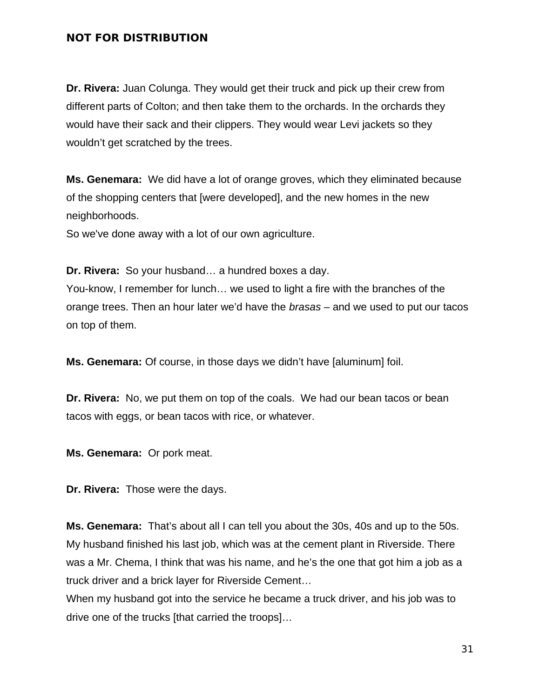**Dr. Rivera:** Juan Colunga. They would get their truck and pick up their crew from different parts of Colton; and then take them to the orchards. In the orchards they would have their sack and their clippers. They would wear Levi jackets so they wouldn't get scratched by the trees.

**Ms. Genemara:** We did have a lot of orange groves, which they eliminated because of the shopping centers that [were developed], and the new homes in the new neighborhoods.

So we've done away with a lot of our own agriculture.

**Dr. Rivera:** So your husband… a hundred boxes a day. You-know, I remember for lunch… we used to light a fire with the branches of the

orange trees. Then an hour later we'd have the *brasas* – and we used to put our tacos on top of them.

**Ms. Genemara:** Of course, in those days we didn't have [aluminum] foil.

**Dr. Rivera:** No, we put them on top of the coals. We had our bean tacos or bean tacos with eggs, or bean tacos with rice, or whatever.

**Ms. Genemara:** Or pork meat.

**Dr. Rivera:** Those were the days.

**Ms. Genemara:** That's about all I can tell you about the 30s, 40s and up to the 50s. My husband finished his last job, which was at the cement plant in Riverside. There was a Mr. Chema, I think that was his name, and he's the one that got him a job as a truck driver and a brick layer for Riverside Cement…

When my husband got into the service he became a truck driver, and his job was to drive one of the trucks [that carried the troops]…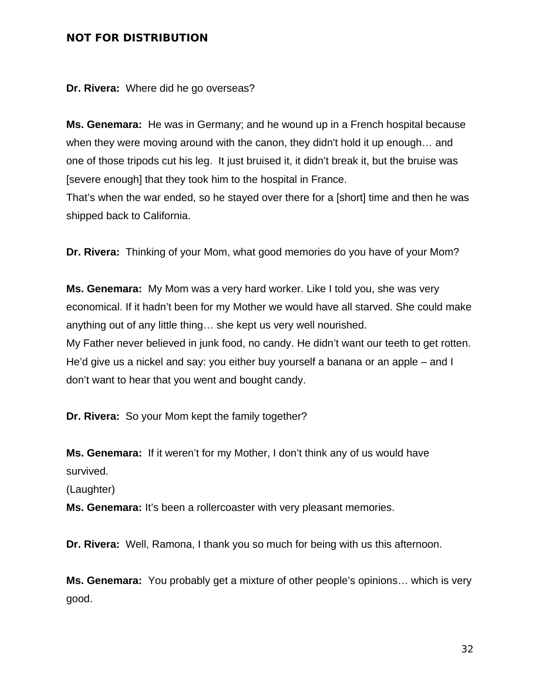**Dr. Rivera:** Where did he go overseas?

**Ms. Genemara:** He was in Germany; and he wound up in a French hospital because when they were moving around with the canon, they didn't hold it up enough… and one of those tripods cut his leg. It just bruised it, it didn't break it, but the bruise was [severe enough] that they took him to the hospital in France.

That's when the war ended, so he stayed over there for a [short] time and then he was shipped back to California.

**Dr. Rivera:** Thinking of your Mom, what good memories do you have of your Mom?

**Ms. Genemara:** My Mom was a very hard worker. Like I told you, she was very economical. If it hadn't been for my Mother we would have all starved. She could make anything out of any little thing… she kept us very well nourished. My Father never believed in junk food, no candy. He didn't want our teeth to get rotten. He'd give us a nickel and say: you either buy yourself a banana or an apple – and I don't want to hear that you went and bought candy.

**Dr. Rivera:** So your Mom kept the family together?

**Ms. Genemara:** If it weren't for my Mother, I don't think any of us would have survived.

(Laughter)

**Ms. Genemara:** It's been a rollercoaster with very pleasant memories.

**Dr. Rivera:** Well, Ramona, I thank you so much for being with us this afternoon.

**Ms. Genemara:** You probably get a mixture of other people's opinions… which is very good.